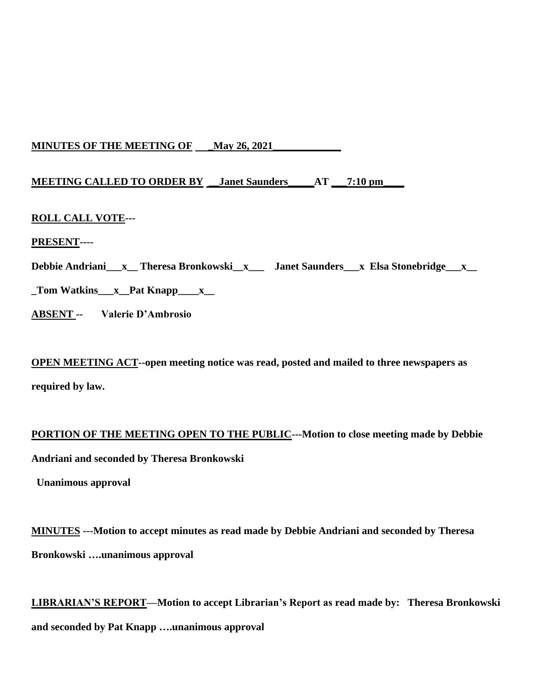# **MINUTES OF THE MEETING OF \_\_May 26, 2021\_\_\_**

# **MEETING CALLED TO ORDER BY \_\_Janet Saunders\_\_\_\_\_AT \_\_\_7:10 pm\_\_\_\_**

## **ROLL CALL VOTE---**

## **PRESENT----**

**Debbie Andriani\_\_\_x\_\_ Theresa Bronkowski\_\_x\_\_\_ Janet Saunders\_\_\_x Elsa Stonebridge\_\_\_x\_\_**

**\_Tom Watkins\_\_\_x\_\_Pat Knapp\_\_\_\_x\_\_**

**ABSENT -- Valerie D'Ambrosio**

**OPEN MEETING ACT--open meeting notice was read, posted and mailed to three newspapers as required by law.**

# **PORTION OF THE MEETING OPEN TO THE PUBLIC---Motion to close meeting made by Debbie Andriani and seconded by Theresa Bronkowski**

 **Unanimous approval**

**MINUTES ---Motion to accept minutes as read made by Debbie Andriani and seconded by Theresa Bronkowski ….unanimous approval**

**LIBRARIAN'S REPORT—Motion to accept Librarian's Report as read made by: Theresa Bronkowski and seconded by Pat Knapp ….unanimous approval**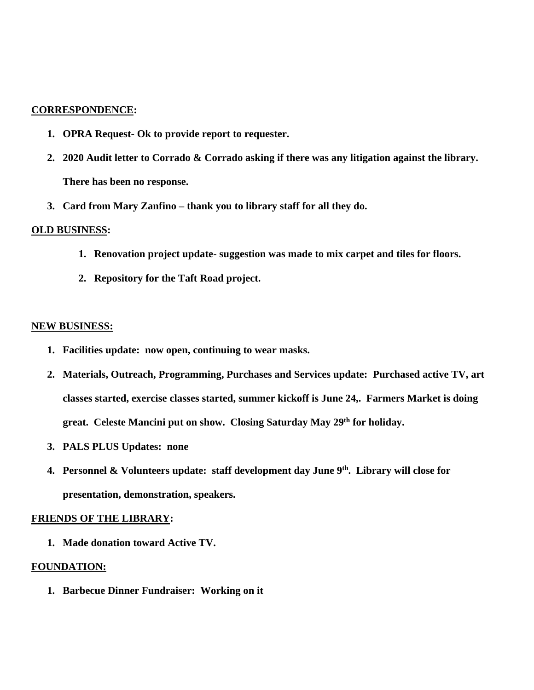#### **CORRESPONDENCE:**

- **1. OPRA Request- Ok to provide report to requester.**
- **2. 2020 Audit letter to Corrado & Corrado asking if there was any litigation against the library. There has been no response.**
- **3. Card from Mary Zanfino – thank you to library staff for all they do.**

#### **OLD BUSINESS:**

- **1. Renovation project update- suggestion was made to mix carpet and tiles for floors.**
- **2. Repository for the Taft Road project.**

#### **NEW BUSINESS:**

- **1. Facilities update: now open, continuing to wear masks.**
- **2. Materials, Outreach, Programming, Purchases and Services update: Purchased active TV, art classes started, exercise classes started, summer kickoff is June 24,. Farmers Market is doing great. Celeste Mancini put on show. Closing Saturday May 29th for holiday.**
- **3. PALS PLUS Updates: none**
- **4. Personnel & Volunteers update: staff development day June 9th. Library will close for presentation, demonstration, speakers.**

#### **FRIENDS OF THE LIBRARY:**

**1. Made donation toward Active TV.**

#### **FOUNDATION:**

**1. Barbecue Dinner Fundraiser: Working on it**